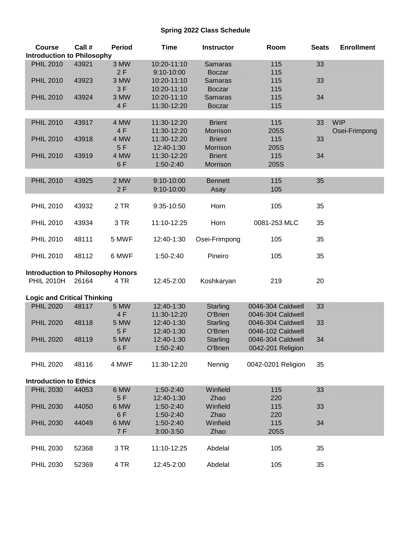## **Spring 2022 Class Schedule**

| <b>Course</b>                            | Call # | <b>Period</b> | <b>Time</b> | <b>Instructor</b> | Room               | <b>Seats</b> | <b>Enrollment</b> |
|------------------------------------------|--------|---------------|-------------|-------------------|--------------------|--------------|-------------------|
| <b>Introduction to Philosophy</b>        |        |               |             |                   |                    |              |                   |
| <b>PHIL 2010</b>                         | 43921  | 3 MW          | 10:20-11:10 | <b>Samaras</b>    | 115                | 33           |                   |
|                                          |        | 2F            | 9:10-10:00  | <b>Boczar</b>     | 115                |              |                   |
| <b>PHIL 2010</b>                         | 43923  | 3 MW          | 10:20-11:10 | <b>Samaras</b>    | 115                | 33           |                   |
|                                          |        | 3F            | 10:20-11:10 | <b>Boczar</b>     | 115                |              |                   |
| <b>PHIL 2010</b>                         | 43924  | 3 MW          | 10:20-11:10 | <b>Samaras</b>    | 115                | 34           |                   |
|                                          |        | 4F            | 11:30-12:20 | <b>Boczar</b>     | 115                |              |                   |
|                                          |        |               |             |                   |                    |              |                   |
| <b>PHIL 2010</b>                         | 43917  | 4 MW          | 11:30-12:20 | <b>Brient</b>     | 115                | 33           | <b>WIP</b>        |
|                                          |        | 4 F           | 11:30-12:20 | <b>Morrison</b>   | 205S               |              | Osei-Frimpong     |
| <b>PHIL 2010</b>                         | 43918  | 4 MW          | 11:30-12:20 | <b>Brient</b>     | 115                | 33           |                   |
|                                          |        | 5F            | 12:40-1:30  | Morrison          | 205S               |              |                   |
| <b>PHIL 2010</b>                         | 43919  | 4 MW          | 11:30-12:20 | <b>Brient</b>     | 115                | 34           |                   |
|                                          |        | 6F            | 1:50-2:40   | Morrison          | 205S               |              |                   |
|                                          |        |               |             |                   |                    |              |                   |
| <b>PHIL 2010</b>                         | 43925  | 2 MW          | 9:10-10:00  | <b>Bennett</b>    | 115                | 35           |                   |
|                                          |        | 2F            | 9:10-10:00  | Asay              | 105                |              |                   |
|                                          |        |               |             |                   |                    |              |                   |
| <b>PHIL 2010</b>                         | 43932  | 2 TR          | 9:35-10:50  | Horn              | 105                | 35           |                   |
|                                          |        |               |             |                   |                    |              |                   |
| <b>PHIL 2010</b>                         | 43934  | 3 TR          | 11:10-12:25 | Horn              | 0081-253 MLC       | 35           |                   |
|                                          |        |               |             |                   |                    |              |                   |
| <b>PHIL 2010</b>                         | 48111  | 5 MWF         | 12:40-1:30  | Osei-Frimpong     | 105                | 35           |                   |
|                                          |        |               |             |                   |                    |              |                   |
| <b>PHIL 2010</b>                         | 48112  | 6 MWF         | 1:50-2:40   | Pineiro           | 105                | 35           |                   |
|                                          |        |               |             |                   |                    |              |                   |
| <b>Introduction to Philosophy Honors</b> |        |               |             |                   |                    |              |                   |
| <b>PHIL 2010H</b>                        | 26164  | 4 TR          | 12:45-2:00  | Koshkaryan        | 219                | 20           |                   |
|                                          |        |               |             |                   |                    |              |                   |
| <b>Logic and Critical Thinking</b>       |        |               |             |                   |                    |              |                   |
| <b>PHIL 2020</b>                         | 48117  | 5 MW          | 12:40-1:30  | Starling          | 0046-304 Caldwell  | 33           |                   |
|                                          |        | 4 F           | 11:30-12:20 | O'Brien           | 0046-304 Caldwell  |              |                   |
| <b>PHIL 2020</b>                         | 48118  | 5 MW          | 12:40-1:30  | Starling          | 0046-304 Caldwell  | 33           |                   |
|                                          |        | 5F            | 12:40-1:30  | O'Brien           | 0046-102 Caldwell  |              |                   |
| <b>PHIL 2020</b>                         | 48119  | 5 MW          | 12:40-1:30  | Starling          | 0046-304 Caldwell  | 34           |                   |
|                                          |        | 6F            | 1:50-2:40   | O'Brien           | 0042-201 Religion  |              |                   |
|                                          |        |               |             |                   |                    |              |                   |
| <b>PHIL 2020</b>                         | 48116  | 4 MWF         | 11:30-12:20 | Nennig            | 0042-0201 Religion | 35           |                   |
|                                          |        |               |             |                   |                    |              |                   |
| <b>Introduction to Ethics</b>            |        |               |             |                   |                    |              |                   |
| <b>PHIL 2030</b>                         | 44053  | 6 MW          | 1:50-2:40   | Winfield          | 115                | 33           |                   |
|                                          |        | 5F            | 12:40-1:30  | Zhao              | 220                |              |                   |
|                                          |        | 6 MW          |             | Winfield          |                    | 33           |                   |
| <b>PHIL 2030</b>                         | 44050  | 6F            | 1:50-2:40   | Zhao              | 115<br>220         |              |                   |
|                                          | 44049  | 6 MW          | 1:50-2:40   | Winfield          |                    | 34           |                   |
| <b>PHIL 2030</b>                         |        |               | 1:50-2:40   |                   | 115                |              |                   |
|                                          |        | 7 F           | 3:00-3:50   | Zhao              | 205S               |              |                   |
|                                          |        |               |             |                   |                    |              |                   |
| <b>PHIL 2030</b>                         | 52368  | 3 TR          | 11:10-12:25 | Abdelal           | 105                | 35           |                   |
|                                          |        |               |             |                   |                    |              |                   |
| <b>PHIL 2030</b>                         | 52369  | 4 TR          | 12:45-2:00  | Abdelal           | 105                | 35           |                   |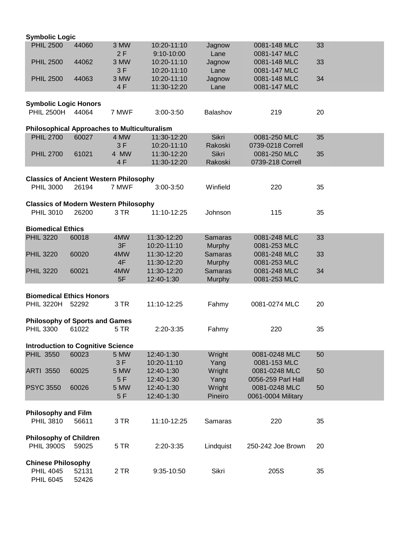| <b>Symbolic Logic</b>                                     |       |       |             |                |                    |    |  |  |  |
|-----------------------------------------------------------|-------|-------|-------------|----------------|--------------------|----|--|--|--|
| <b>PHIL 2500</b>                                          | 44060 | 3 MW  | 10:20-11:10 | Jagnow         | 0081-148 MLC       | 33 |  |  |  |
|                                                           |       | 2F    | 9:10-10:00  | Lane           | 0081-147 MLC       |    |  |  |  |
| <b>PHIL 2500</b>                                          | 44062 | 3 MW  | 10:20-11:10 | Jagnow         | 0081-148 MLC       | 33 |  |  |  |
|                                                           |       | 3F    | 10:20-11:10 | Lane           | 0081-147 MLC       |    |  |  |  |
| <b>PHIL 2500</b>                                          | 44063 | 3 MW  | 10:20-11:10 | Jagnow         | 0081-148 MLC       | 34 |  |  |  |
|                                                           |       | 4F    | 11:30-12:20 | Lane           | 0081-147 MLC       |    |  |  |  |
|                                                           |       |       |             |                |                    |    |  |  |  |
| <b>Symbolic Logic Honors</b>                              |       |       |             |                |                    |    |  |  |  |
| PHIL 2500H 44064                                          |       | 7 MWF | 3:00-3:50   | Balashov       | 219                | 20 |  |  |  |
| <b>Philosophical Approaches to Multiculturalism</b>       |       |       |             |                |                    |    |  |  |  |
| <b>PHIL 2700</b>                                          | 60027 | 4 MW  | 11:30-12:20 | Sikri          | 0081-250 MLC       | 35 |  |  |  |
|                                                           |       | 3F    | 10:20-11:10 | Rakoski        | 0739-0218 Correll  |    |  |  |  |
| <b>PHIL 2700</b>                                          | 61021 | 4 MW  | 11:30-12:20 | <b>Sikri</b>   | 0081-250 MLC       | 35 |  |  |  |
|                                                           |       | 4F    | 11:30-12:20 | Rakoski        | 0739-218 Correll   |    |  |  |  |
|                                                           |       |       |             |                |                    |    |  |  |  |
| <b>Classics of Ancient Western Philosophy</b>             |       |       |             |                |                    |    |  |  |  |
| <b>PHIL 3000</b>                                          | 26194 | 7 MWF | 3:00-3:50   | Winfield       | 220                | 35 |  |  |  |
|                                                           |       |       |             |                |                    |    |  |  |  |
| <b>Classics of Modern Western Philosophy</b>              |       |       |             |                |                    |    |  |  |  |
| <b>PHIL 3010</b>                                          | 26200 | 3 TR  | 11:10-12:25 | Johnson        | 115                | 35 |  |  |  |
| <b>Biomedical Ethics</b>                                  |       |       |             |                |                    |    |  |  |  |
| <b>PHIL 3220</b>                                          | 60018 | 4MW   | 11:30-12:20 | <b>Samaras</b> | 0081-248 MLC       | 33 |  |  |  |
|                                                           |       | 3F    | 10:20-11:10 | Murphy         | 0081-253 MLC       |    |  |  |  |
| <b>PHIL 3220</b>                                          | 60020 | 4MW   | 11:30-12:20 | <b>Samaras</b> | 0081-248 MLC       | 33 |  |  |  |
|                                                           |       | 4F    | 11:30-12:20 | <b>Murphy</b>  | 0081-253 MLC       |    |  |  |  |
| <b>PHIL 3220</b>                                          | 60021 | 4MW   | 11:30-12:20 | <b>Samaras</b> | 0081-248 MLC       | 34 |  |  |  |
|                                                           |       | 5F    | 12:40-1:30  | Murphy         | 0081-253 MLC       |    |  |  |  |
|                                                           |       |       |             |                |                    |    |  |  |  |
| <b>Biomedical Ethics Honors</b>                           |       |       |             |                |                    |    |  |  |  |
| <b>PHIL 3220H</b>                                         | 52292 | 3 TR  | 11:10-12:25 | Fahmy          | 0081-0274 MLC      | 20 |  |  |  |
|                                                           |       |       |             |                |                    |    |  |  |  |
| <b>Philosophy of Sports and Games</b><br><b>PHIL 3300</b> | 61022 | 5 TR  | 2:20-3:35   |                | 220                | 35 |  |  |  |
|                                                           |       |       |             | Fahmy          |                    |    |  |  |  |
| <b>Introduction to Cognitive Science</b>                  |       |       |             |                |                    |    |  |  |  |
| <b>PHIL 3550</b>                                          | 60023 | 5 MW  | 12:40-1:30  | Wright         | 0081-0248 MLC      | 50 |  |  |  |
|                                                           |       | 3F    | 10:20-11:10 | Yang           | 0081-153 MLC       |    |  |  |  |
| <b>ARTI 3550</b>                                          | 60025 | 5 MW  | 12:40-1:30  | Wright         | 0081-0248 MLC      | 50 |  |  |  |
|                                                           |       | 5F    | 12:40-1:30  | Yang           | 0056-259 Parl Hall |    |  |  |  |
| <b>PSYC 3550</b>                                          | 60026 | 5 MW  | 12:40-1:30  | Wright         | 0081-0248 MLC      | 50 |  |  |  |
|                                                           |       | 5F    | 12:40-1:30  | Pineiro        | 0061-0004 Military |    |  |  |  |
|                                                           |       |       |             |                |                    |    |  |  |  |
| <b>Philosophy and Film</b>                                |       |       |             |                |                    |    |  |  |  |
| <b>PHIL 3810</b>                                          | 56611 | 3 TR  | 11:10-12:25 | Samaras        | 220                | 35 |  |  |  |
| <b>Philosophy of Children</b>                             |       |       |             |                |                    |    |  |  |  |
| <b>PHIL 3900S</b>                                         | 59025 | 5 TR  | 2:20-3:35   | Lindquist      | 250-242 Joe Brown  | 20 |  |  |  |
|                                                           |       |       |             |                |                    |    |  |  |  |
| <b>Chinese Philosophy</b>                                 |       |       |             |                |                    |    |  |  |  |
| <b>PHIL 4045</b>                                          | 52131 | 2 TR  | 9:35-10:50  | Sikri          | 205S               | 35 |  |  |  |
| <b>PHIL 6045</b>                                          | 52426 |       |             |                |                    |    |  |  |  |